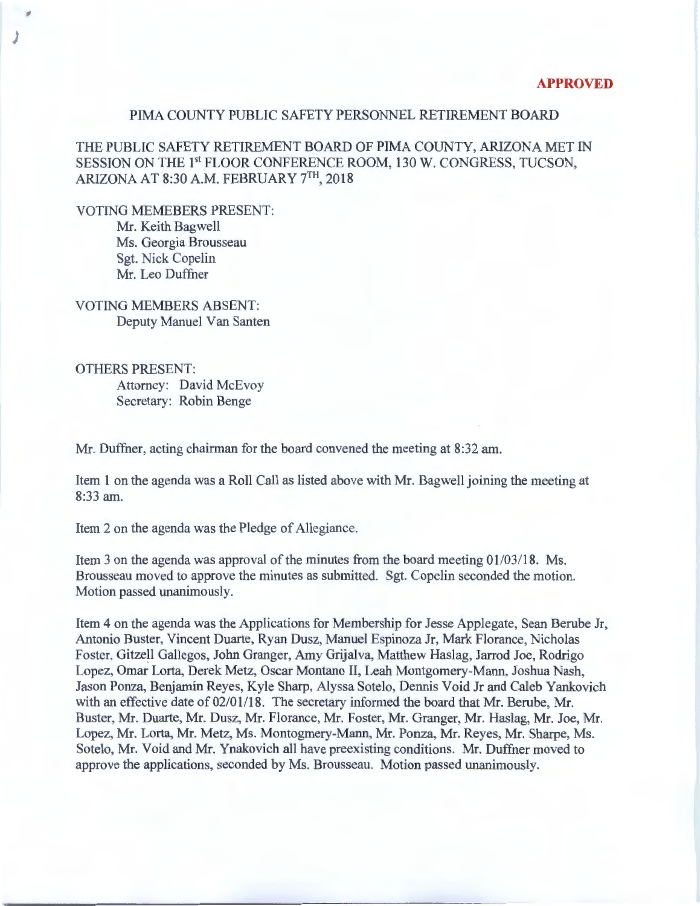## PIMA COUNTY PUBLIC SAFETY PERSONNEL RETIREMENT BOARD

THE PUBLIC SAFETY RETIREMENT BOARD OF PIMA COUNTY, ARIZONA MET IN SESSION ON THE 1<sup>st</sup> FLOOR CONFERENCE ROOM, 130 W. CONGRESS, TUCSON, ARIZONA AT 8:30A.M. FEBRUARY 7TH, 2018

VOTING MEMEBERS PRESENT: Mr. Keith Bagwell Ms. Georgia Brousseau Sgt. Nick Copelin Mr. Leo Duffner

,

)

VOTING MEMBERS ABSENT: Deputy Manuel Van Santen

OTHERS PRESENT: Attorney: David McEvoy Secretary: Robin Benge

Mr. Duffner, acting chairman for the board convened the meeting at 8:32 am.

Item 1 on the agenda was a Roll Call as listed above with Mr. Bagwell joining the meeting at 8:33am.

Item 2 on the agenda was the Pledge of Allegiance.

Item 3 on the agenda was approval of the minutes from the board meeting 01/03/18. Ms. Brousseau moved to approve the minutes as submitted. Sgt. Copelin seconded the motion. Motion passed unanimously.

Item 4 on the agenda was the Applications for Membership for Jesse Applegate, Sean Berube Jr, Antonio Buster, Vincent Duarte, Ryan Dusz, Manuel Espinoza Jr, Mark Florance, Nicholas Foster, Gitzell Gallegos, John Granger, Amy Grijalva, Matthew Haslag, Jarrod Joe, Rodrigo Lopez, Omar Lorta, Derek Metz, Oscar Montano II, Leah Montgomery-Mann, Joshua Nash, Jason Ponza, Benjamin Reyes, Kyle Sharp, Alyssa Sotelo, Dennis Void Jr and Caleb Yankovich with an effective date of 02/01/18. The secretary informed the board that Mr. Berube, Mr. Buster, Mr. Duarte, Mr. Dusz, Mr. Florance, Mr. Foster, Mr. Granger, Mr. Haslag, Mr. Joe, Mr. Lopez, Mr. Lorta, Mr. Metz, Ms. Montogmery-Mann, Mr. Ponza, Mr. Reyes, Mr. Sharpe, Ms. Sotelo, Mr. Void and Mr. Ynakovich all have preexisting conditions. Mr. Duffner moved to approve the applications, seconded by Ms. Brousseau. Motion passed unanimously.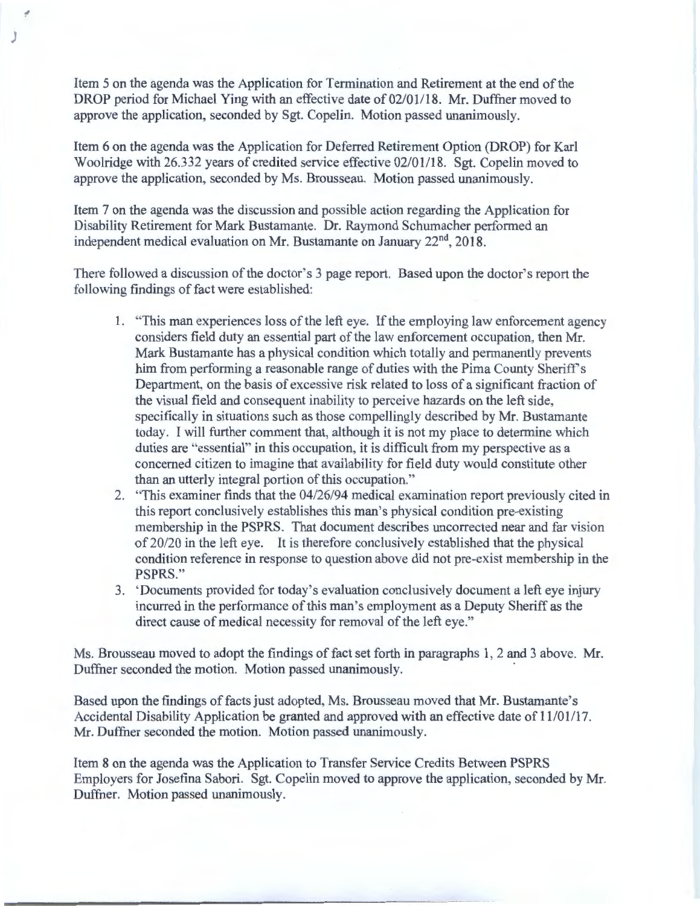Item 5 on the agenda was the Application for Termination and Retirement at the end of the DROP period for Michael Ying with an effective date of 02/01/18. Mr. Duffner moved to approve the application, seconded by Sgt. Copelin. Motion passed unanimously.

)

Item 6 on the agenda was the Application for Deferred Retirement Option (DROP) for Karl Woolridge with 26.332 years of credited service effective 02/01118. Sgt. Copelin moved to approve the application, seconded by Ms. Brousseau. Motion passed unanimously.

Item 7 on the agenda was the discussion and possible action regarding the Application for Disability Retirement for Mark Bustamante. Dr. Raymond Schumacher performed an independent medical evaluation on Mr. Bustamante on January 22<sup>nd</sup>, 2018.

There followed a discussion of the doctor's 3 page report. Based upon the doctor's report the following findings of fact were established:

- 1. "This man experiences loss of the left eye. If the employing law enforcement agency considers field duty an essential part of the law enforcement occupation, then Mr. Mark Bustamante has a physical condition which totally and permanently prevents him from performing a reasonable range of duties with the Pima County Sheriff's Department, on the basis of excessive risk related to loss of a significant fraction of the visual field and consequent inability to perceive hazards on the left side, specifically in situations such as those compellingly described by Mr. Bustamante today. I will further comment that, although it is not my place to determine which duties are "essential" in this occupation, it is difficult from my perspective as a concerned citizen to imagine that availability for field duty would constitute other than an utterly integral portion of this occupation."
- 2. "This examiner finds that the 04/26/94 medical examination report previously cited in this report conclusively establishes this man's physical condition pre-existing membership in the PSPRS. That document describes uncorrected near and far vision of 20/20 in the left eye. It is therefore conclusively established that the physical condition reference in response to question above did not pre-exist membership in the PSPRS."
- 3. 'Documents provided for today's evaluation conclusively document a left eye injury incurred in the performance of this man's employment as a Deputy Sheriff as the direct cause of medical necessity for removal of the left eye."

Ms. Brousseau moved to adopt the findings of fact set forth in paragraphs 1, 2 and 3 above. Mr. Duffner seconded the motion. Motion passed unanimously.

Based upon the findings of facts just adopted, Ms. Brousseau moved that Mr. Bustamante's Accidental Disability Application be granted and approved with an effective date of 11/01/17. Mr. Duffner seconded the motion. Motion passed unanimously.

Item 8 on the agenda was the Application to Transfer Service Credits Between PSPRS Employers for Josefina Sabori. Sgt. Copelin moved to approve the application, seconded by Mr. Duffner. Motion passed unanimously.